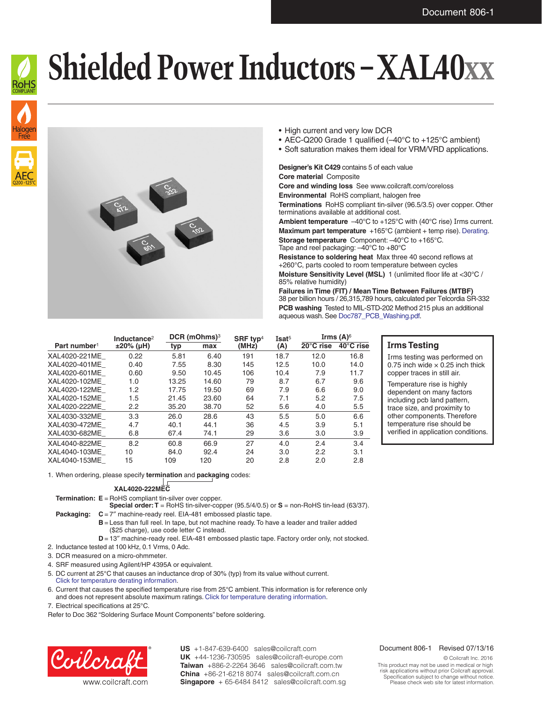



- High current and very low DCR
- AEC-Q200 Grade 1 qualified (–40°C to +125°C ambient)
- Soft saturation makes them ideal for VRM/VRD applications.

### **Designer's Kit C429** contains 5 of each value

**Core material** Composite **Core and winding loss** See www.coilcraft.com/coreloss **Environmental** RoHS compliant, halogen free **Terminations** RoHS compliant tin-silver (96.5/3.5) over copper. Other terminations available at additional cost.

**Ambient temperature**  $-40^{\circ}$ C to  $+125^{\circ}$ C with (40°C rise) Irms current. **Maximum part temperature** +165°C (ambient + temp rise). [Derating.](http://www.coilcraft.com/apps/compare/compare_power.cfm)

**Storage temperature** Component: –40°C to +165°C. Tape and reel packaging: –40°C to +80°C

**Resistance to soldering heat** Max three 40 second reflows at +260°C, parts cooled to room temperature between cycles **Moisture Sensitivity Level (MSL)** 1 (unlimited floor life at <30°C / 85% relative humidity)

**Failures in Time (FIT) / Mean Time Between Failures (MTBF)** 38 per billion hours / 26,315,789 hours, calculated per Telcordia SR-332 **PCB washing** Tested to MIL-STD-202 Method 215 plus an additional aqueous wash. See [Doc787\\_PCB\\_Washing.pdf](http://www.coilcraft.com/pdfs/Doc787_PCB_Washing.pdf).

|                          | Inductance <sup>2</sup> | DCR (mOhms) <sup>3</sup> |       | SRF typ <sup>4</sup> | Isat <sup>5</sup> | Irms (A) $6$        |                     |
|--------------------------|-------------------------|--------------------------|-------|----------------------|-------------------|---------------------|---------------------|
| Part number <sup>1</sup> | ±20% (µH)               | typ                      | max   | (MHz)                | (A)               | $20^{\circ}$ C rise | $40^{\circ}$ C rise |
| XAL4020-221ME            | 0.22                    | 5.81                     | 6.40  | 191                  | 18.7              | 12.0                | 16.8                |
| XAL4020-401ME            | 0.40                    | 7.55                     | 8.30  | 145                  | 12.5              | 10.0                | 14.0                |
| XAL4020-601ME            | 0.60                    | 9.50                     | 10.45 | 106                  | 10.4              | 7.9                 | 11.7                |
| XAL4020-102ME            | 1.0                     | 13.25                    | 14.60 | 79                   | 8.7               | 6.7                 | 9.6                 |
| XAL4020-122ME            | 1.2                     | 17.75                    | 19.50 | 69                   | 7.9               | 6.6                 | 9.0                 |
| XAL4020-152ME            | 1.5                     | 21.45                    | 23.60 | 64                   | 7.1               | 5.2                 | 7.5                 |
| XAL4020-222ME            | 2.2                     | 35.20                    | 38.70 | 52                   | 5.6               | 4.0                 | 5.5                 |
| XAL4030-332ME            | 3.3                     | 26.0                     | 28.6  | 43                   | 5.5               | 5.0                 | 6.6                 |
| XAL4030-472ME            | 4.7                     | 40.1                     | 44.1  | 36                   | 4.5               | 3.9                 | 5.1                 |
| XAL4030-682ME            | 6.8                     | 67.4                     | 74.1  | 29                   | 3.6               | 3.0                 | 3.9                 |
| XAL4040-822ME            | 8.2                     | 60.8                     | 66.9  | 27                   | 4.0               | 2.4                 | 3.4                 |
| XAL4040-103ME            | 10                      | 84.0                     | 92.4  | 24                   | 3.0               | 2.2                 | 3.1                 |
| XAL4040-153ME            | 15                      | 109                      | 120   | 20                   | 2.8               | 2.0                 | 2.8                 |

### **Irms Testing**

Irms testing was performed on 0.75 inch wide  $\times$  0.25 inch thick copper traces in still air.

Temperature rise is highly dependent on many factors including pcb land pattern, trace size, and proximity to other components. Therefore temperature rise should be verified in application conditions.

1. When ordering, please specify **termination** and **packaging** codes:

### **XAL4020-222MEC**

**Termination: E** = RoHS compliant tin-silver over copper.

**Special order: T** = RoHS tin-silver-copper (95.5/4/0.5) or **S** = non-RoHS tin-lead (63/37).

**Packaging:**  $C = 7$ " machine-ready reel. EIA-481 embossed plastic tape.

- **B** = Less than full reel. In tape, but not machine ready. To have a leader and trailer added (\$25 charge), use code letter C instead.
- **D** = 13" machine-ready reel. EIA-481 embossed plastic tape. Factory order only, not stocked.
- 2. Inductance tested at 100 kHz, 0.1 Vrms, 0 Adc.

3. DCR measured on a micro-ohmmeter.

4. SRF measured using Agilent/HP 4395A or equivalent.

5. DC current at 25°C that causes an inductance drop of 30% (typ) from its value without current. [Click for temperature derating information.](http://www.coilcraft.com/apps/compare/compare_power.cfm)

6. Current that causes the specified temperature rise from 25°C ambient. This information is for reference only and does not represent absolute maximum ratings. [Click for temperature derating information](http://www.coilcraft.com/apps/compare/compare_power.cfm).

7. Electrical specifications at 25°C.

Refer to Doc 362 "Soldering Surface Mount Components" before soldering.



US +1-847-639-6400 sales@coilcraft.com UK +44-1236-730595 sales@coilcraft-europe.com **Taiwan** +886-2-2264 3646 sales@coilcraft.com.tw **China** +86-21-6218 8074 sales@coilcraft.com.cn **Singapore** + 65-6484 8412 sales@coilcraft.com.sg

#### Document 806-1 Revised 07/13/16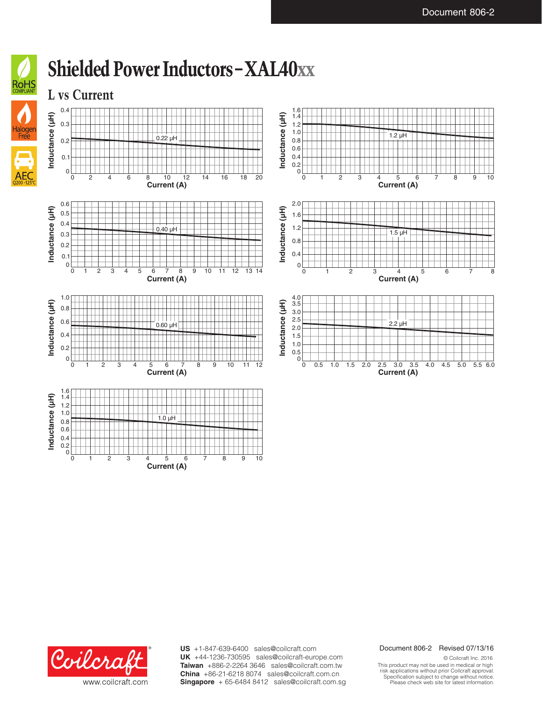

**Current (A)**





**US** +1-847-639-6400 sales@coilcraft.com **UK** +44-1236-730595 sales@coilcraft-europe.com **Taiwan** +886-2-2264 3646 sales@coilcraft.com.tw **China** +86-21-6218 8074 sales@coilcraft.com.cn **Singapore** + 65-6484 8412 sales@coilcraft.com.sg

### Document 806-2 Revised 07/13/16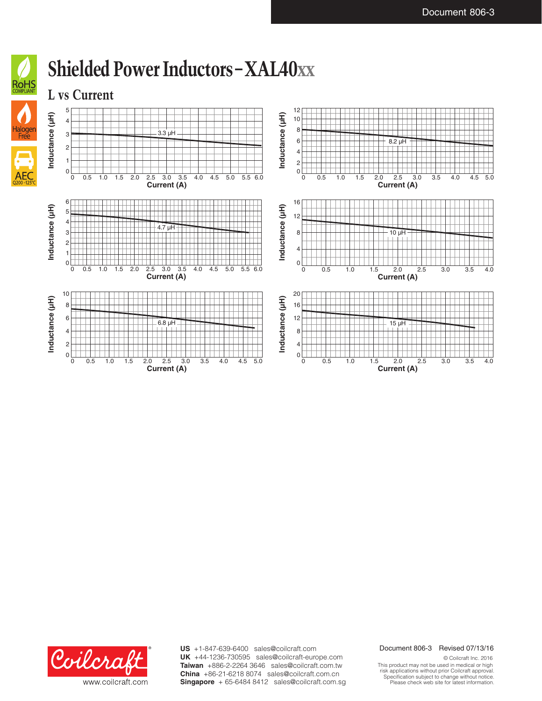





**US** +1-847-639-6400 sales@coilcraft.com **UK** +44-1236-730595 sales@coilcraft-europe.com **Taiwan** +886-2-2264 3646 sales@coilcraft.com.tw **China** +86-21-6218 8074 sales@coilcraft.com.cn **Singapore** + 65-6484 8412 sales@coilcraft.com.sg

#### Document 806-3 Revised 07/13/16